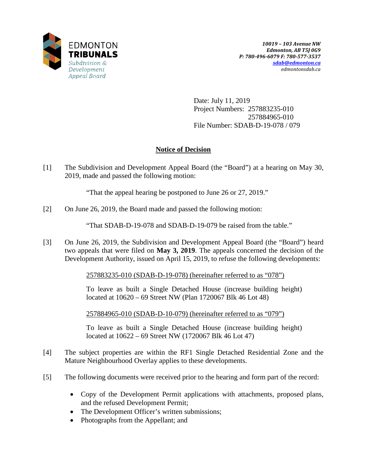

Date: July 11, 2019 Project Numbers: 257883235-010 257884965-010 File Number: SDAB-D-19-078 / 079

## **Notice of Decision**

[1] The Subdivision and Development Appeal Board (the "Board") at a hearing on May 30, 2019, made and passed the following motion:

"That the appeal hearing be postponed to June 26 or 27, 2019."

[2] On June 26, 2019, the Board made and passed the following motion:

"That SDAB-D-19-078 and SDAB-D-19-079 be raised from the table."

[3] On June 26, 2019, the Subdivision and Development Appeal Board (the "Board") heard two appeals that were filed on **May 3, 2019**. The appeals concerned the decision of the Development Authority, issued on April 15, 2019, to refuse the following developments:

257883235-010 (SDAB-D-19-078) (hereinafter referred to as "078")

To leave as built a Single Detached House (increase building height) located at 10620 – 69 Street NW (Plan 1720067 Blk 46 Lot 48)

257884965-010 (SDAB-D-10-079) (hereinafter referred to as "079")

To leave as built a Single Detached House (increase building height) located at 10622 – 69 Street NW (1720067 Blk 46 Lot 47)

- [4] The subject properties are within the RF1 Single Detached Residential Zone and the Mature Neighbourhood Overlay applies to these developments.
- [5] The following documents were received prior to the hearing and form part of the record:
	- Copy of the Development Permit applications with attachments, proposed plans, and the refused Development Permit;
	- The Development Officer's written submissions;
	- Photographs from the Appellant; and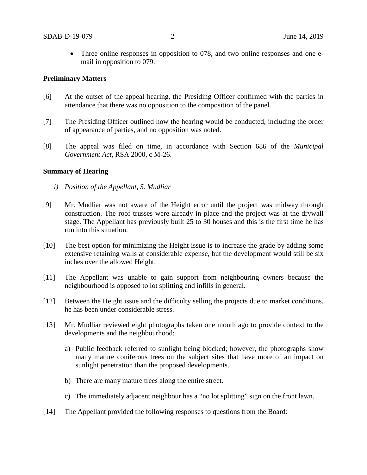• Three online responses in opposition to 078, and two online responses and one email in opposition to 079.

### **Preliminary Matters**

- [6] At the outset of the appeal hearing, the Presiding Officer confirmed with the parties in attendance that there was no opposition to the composition of the panel.
- [7] The Presiding Officer outlined how the hearing would be conducted, including the order of appearance of parties, and no opposition was noted.
- [8] The appeal was filed on time, in accordance with Section 686 of the *Municipal Government Act*, RSA 2000, c M-26.

### **Summary of Hearing**

- *i) Position of the Appellant, S. Mudliar*
- [9] Mr. Mudliar was not aware of the Height error until the project was midway through construction. The roof trusses were already in place and the project was at the drywall stage. The Appellant has previously built 25 to 30 houses and this is the first time he has run into this situation.
- [10] The best option for minimizing the Height issue is to increase the grade by adding some extensive retaining walls at considerable expense, but the development would still be six inches over the allowed Height.
- [11] The Appellant was unable to gain support from neighbouring owners because the neighbourhood is opposed to lot splitting and infills in general.
- [12] Between the Height issue and the difficulty selling the projects due to market conditions, he has been under considerable stress.
- [13] Mr. Mudliar reviewed eight photographs taken one month ago to provide context to the developments and the neighbourhood:
	- a) Public feedback referred to sunlight being blocked; however, the photographs show many mature coniferous trees on the subject sites that have more of an impact on sunlight penetration than the proposed developments.
	- b) There are many mature trees along the entire street.
	- c) The immediately adjacent neighbour has a "no lot splitting" sign on the front lawn.
- [14] The Appellant provided the following responses to questions from the Board: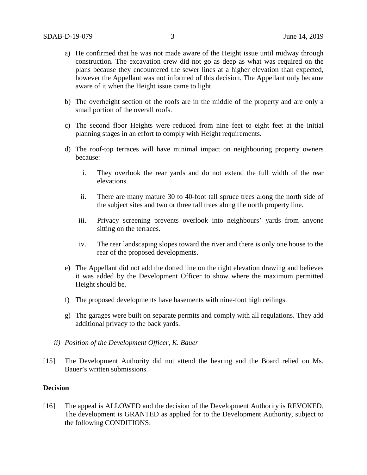- a) He confirmed that he was not made aware of the Height issue until midway through construction. The excavation crew did not go as deep as what was required on the plans because they encountered the sewer lines at a higher elevation than expected, however the Appellant was not informed of this decision. The Appellant only became aware of it when the Height issue came to light.
- b) The overheight section of the roofs are in the middle of the property and are only a small portion of the overall roofs.
- c) The second floor Heights were reduced from nine feet to eight feet at the initial planning stages in an effort to comply with Height requirements.
- d) The roof-top terraces will have minimal impact on neighbouring property owners because:
	- i. They overlook the rear yards and do not extend the full width of the rear elevations.
	- ii. There are many mature 30 to 40-foot tall spruce trees along the north side of the subject sites and two or three tall trees along the north property line.
	- iii. Privacy screening prevents overlook into neighbours' yards from anyone sitting on the terraces.
	- iv. The rear landscaping slopes toward the river and there is only one house to the rear of the proposed developments.
- e) The Appellant did not add the dotted line on the right elevation drawing and believes it was added by the Development Officer to show where the maximum permitted Height should be.
- f) The proposed developments have basements with nine-foot high ceilings.
- g) The garages were built on separate permits and comply with all regulations. They add additional privacy to the back yards.
- *ii) Position of the Development Officer, K. Bauer*
- [15] The Development Authority did not attend the hearing and the Board relied on Ms. Bauer's written submissions.

## **Decision**

[16] The appeal is ALLOWED and the decision of the Development Authority is REVOKED. The development is GRANTED as applied for to the Development Authority, subject to the following CONDITIONS: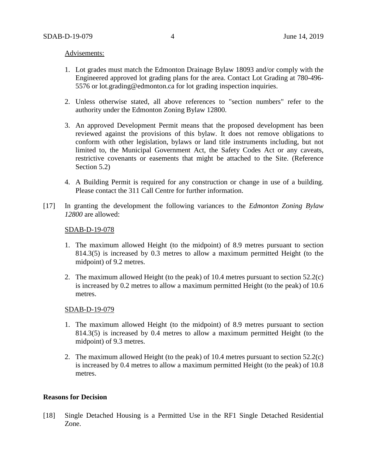#### Advisements:

- 1. Lot grades must match the Edmonton Drainage Bylaw 18093 and/or comply with the Engineered approved lot grading plans for the area. Contact Lot Grading at 780-496- 5576 or lot.grading@edmonton.ca for lot grading inspection inquiries.
- 2. Unless otherwise stated, all above references to "section numbers" refer to the authority under the Edmonton Zoning Bylaw 12800.
- 3. An approved Development Permit means that the proposed development has been reviewed against the provisions of this bylaw. It does not remove obligations to conform with other legislation, bylaws or land title instruments including, but not limited to, the Municipal Government Act, the Safety Codes Act or any caveats, restrictive covenants or easements that might be attached to the Site. (Reference Section 5.2)
- 4. A Building Permit is required for any construction or change in use of a building. Please contact the 311 Call Centre for further information.
- [17] In granting the development the following variances to the *Edmonton Zoning Bylaw 12800* are allowed:

#### SDAB-D-19-078

- 1. The maximum allowed Height (to the midpoint) of 8.9 metres pursuant to section 814.3(5) is increased by 0.3 metres to allow a maximum permitted Height (to the midpoint) of 9.2 metres.
- 2. The maximum allowed Height (to the peak) of 10.4 metres pursuant to section 52.2(c) is increased by 0.2 metres to allow a maximum permitted Height (to the peak) of 10.6 metres.

#### SDAB-D-19-079

- 1. The maximum allowed Height (to the midpoint) of 8.9 metres pursuant to section 814.3(5) is increased by 0.4 metres to allow a maximum permitted Height (to the midpoint) of 9.3 metres.
- 2. The maximum allowed Height (to the peak) of 10.4 metres pursuant to section 52.2(c) is increased by 0.4 metres to allow a maximum permitted Height (to the peak) of 10.8 metres.

## **Reasons for Decision**

[18] Single Detached Housing is a Permitted Use in the RF1 Single Detached Residential Zone.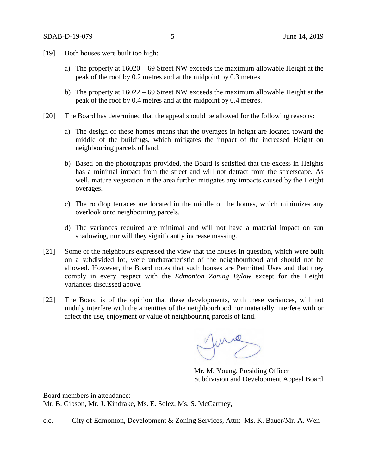- [19] Both houses were built too high:
	- a) The property at 16020 69 Street NW exceeds the maximum allowable Height at the peak of the roof by 0.2 metres and at the midpoint by 0.3 metres
	- b) The property at 16022 69 Street NW exceeds the maximum allowable Height at the peak of the roof by 0.4 metres and at the midpoint by 0.4 metres.
- [20] The Board has determined that the appeal should be allowed for the following reasons:
	- a) The design of these homes means that the overages in height are located toward the middle of the buildings, which mitigates the impact of the increased Height on neighbouring parcels of land.
	- b) Based on the photographs provided, the Board is satisfied that the excess in Heights has a minimal impact from the street and will not detract from the streetscape. As well, mature vegetation in the area further mitigates any impacts caused by the Height overages.
	- c) The rooftop terraces are located in the middle of the homes, which minimizes any overlook onto neighbouring parcels.
	- d) The variances required are minimal and will not have a material impact on sun shadowing, nor will they significantly increase massing.
- [21] Some of the neighbours expressed the view that the houses in question, which were built on a subdivided lot, were uncharacteristic of the neighbourhood and should not be allowed. However, the Board notes that such houses are Permitted Uses and that they comply in every respect with the *Edmonton Zoning Bylaw* except for the Height variances discussed above.
- [22] The Board is of the opinion that these developments, with these variances, will not unduly interfere with the amenities of the neighbourhood nor materially interfere with or affect the use, enjoyment or value of neighbouring parcels of land.

fune

Mr. M. Young, Presiding Officer Subdivision and Development Appeal Board

Board members in attendance: Mr. B. Gibson, Mr. J. Kindrake, Ms. E. Solez, Ms. S. McCartney,

c.c. City of Edmonton, Development & Zoning Services, Attn: Ms. K. Bauer/Mr. A. Wen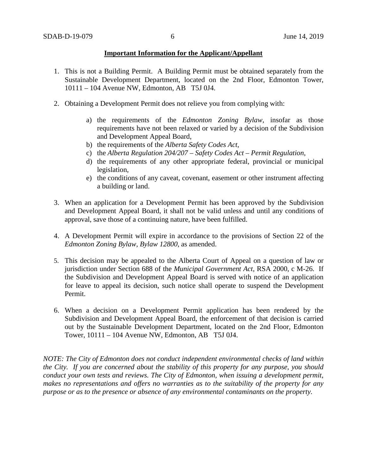## **Important Information for the Applicant/Appellant**

- 1. This is not a Building Permit. A Building Permit must be obtained separately from the Sustainable Development Department, located on the 2nd Floor, Edmonton Tower, 10111 – 104 Avenue NW, Edmonton, AB T5J 0J4.
- 2. Obtaining a Development Permit does not relieve you from complying with:
	- a) the requirements of the *Edmonton Zoning Bylaw*, insofar as those requirements have not been relaxed or varied by a decision of the Subdivision and Development Appeal Board,
	- b) the requirements of the *Alberta Safety Codes Act*,
	- c) the *Alberta Regulation 204/207 – Safety Codes Act – Permit Regulation*,
	- d) the requirements of any other appropriate federal, provincial or municipal legislation,
	- e) the conditions of any caveat, covenant, easement or other instrument affecting a building or land.
- 3. When an application for a Development Permit has been approved by the Subdivision and Development Appeal Board, it shall not be valid unless and until any conditions of approval, save those of a continuing nature, have been fulfilled.
- 4. A Development Permit will expire in accordance to the provisions of Section 22 of the *Edmonton Zoning Bylaw, Bylaw 12800*, as amended.
- 5. This decision may be appealed to the Alberta Court of Appeal on a question of law or jurisdiction under Section 688 of the *Municipal Government Act*, RSA 2000, c M-26. If the Subdivision and Development Appeal Board is served with notice of an application for leave to appeal its decision, such notice shall operate to suspend the Development Permit.
- 6. When a decision on a Development Permit application has been rendered by the Subdivision and Development Appeal Board, the enforcement of that decision is carried out by the Sustainable Development Department, located on the 2nd Floor, Edmonton Tower, 10111 – 104 Avenue NW, Edmonton, AB T5J 0J4.

*NOTE: The City of Edmonton does not conduct independent environmental checks of land within the City. If you are concerned about the stability of this property for any purpose, you should conduct your own tests and reviews. The City of Edmonton, when issuing a development permit, makes no representations and offers no warranties as to the suitability of the property for any purpose or as to the presence or absence of any environmental contaminants on the property.*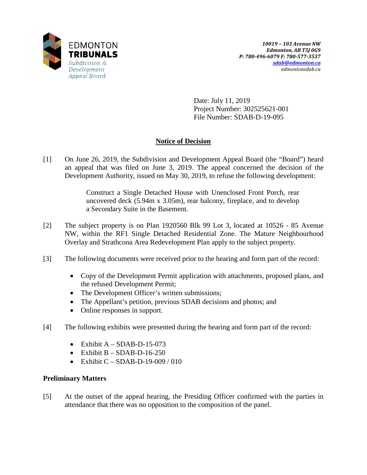

Date: July 11, 2019 Project Number: 302525621-001 File Number: SDAB-D-19-095

# **Notice of Decision**

[1] On June 26, 2019, the Subdivision and Development Appeal Board (the "Board") heard an appeal that was filed on June 3, 2019. The appeal concerned the decision of the Development Authority, issued on May 30, 2019, to refuse the following development:

> Construct a Single Detached House with Unenclosed Front Porch, rear uncovered deck (5.94m x 3.05m), rear balcony, fireplace, and to develop a Secondary Suite in the Basement.

- [2] The subject property is on Plan 1920560 Blk 99 Lot 3, located at 10526 85 Avenue NW, within the RF1 Single Detached Residential Zone. The Mature Neighbourhood Overlay and Strathcona Area Redevelopment Plan apply to the subject property.
- [3] The following documents were received prior to the hearing and form part of the record:
	- Copy of the Development Permit application with attachments, proposed plans, and the refused Development Permit;
	- The Development Officer's written submissions;
	- The Appellant's petition, previous SDAB decisions and photos; and
	- Online responses in support.
- [4] The following exhibits were presented during the hearing and form part of the record:
	- Exhibit  $A SDAB-D-15-073$
	- Exhibit  $B SDAB-D-16-250$
	- Exhibit  $C SDAB-D-19-009/010$

## **Preliminary Matters**

[5] At the outset of the appeal hearing, the Presiding Officer confirmed with the parties in attendance that there was no opposition to the composition of the panel.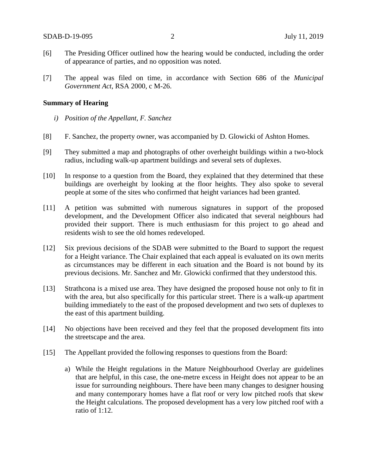- [6] The Presiding Officer outlined how the hearing would be conducted, including the order of appearance of parties, and no opposition was noted.
- [7] The appeal was filed on time, in accordance with Section 686 of the *Municipal Government Act*, RSA 2000, c M-26.

#### **Summary of Hearing**

- *i) Position of the Appellant, F. Sanchez*
- [8] F. Sanchez, the property owner, was accompanied by D. Glowicki of Ashton Homes.
- [9] They submitted a map and photographs of other overheight buildings within a two-block radius, including walk-up apartment buildings and several sets of duplexes.
- [10] In response to a question from the Board, they explained that they determined that these buildings are overheight by looking at the floor heights. They also spoke to several people at some of the sites who confirmed that height variances had been granted.
- [11] A petition was submitted with numerous signatures in support of the proposed development, and the Development Officer also indicated that several neighbours had provided their support. There is much enthusiasm for this project to go ahead and residents wish to see the old homes redeveloped.
- [12] Six previous decisions of the SDAB were submitted to the Board to support the request for a Height variance. The Chair explained that each appeal is evaluated on its own merits as circumstances may be different in each situation and the Board is not bound by its previous decisions. Mr. Sanchez and Mr. Glowicki confirmed that they understood this.
- [13] Strathcona is a mixed use area. They have designed the proposed house not only to fit in with the area, but also specifically for this particular street. There is a walk-up apartment building immediately to the east of the proposed development and two sets of duplexes to the east of this apartment building.
- [14] No objections have been received and they feel that the proposed development fits into the streetscape and the area.
- [15] The Appellant provided the following responses to questions from the Board:
	- a) While the Height regulations in the Mature Neighbourhood Overlay are guidelines that are helpful, in this case, the one-metre excess in Height does not appear to be an issue for surrounding neighbours. There have been many changes to designer housing and many contemporary homes have a flat roof or very low pitched roofs that skew the Height calculations. The proposed development has a very low pitched roof with a ratio of 1:12.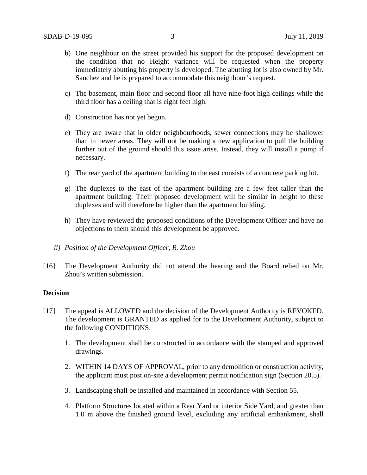- b) One neighbour on the street provided his support for the proposed development on the condition that no Height variance will be requested when the property immediately abutting his property is developed. The abutting lot is also owned by Mr. Sanchez and he is prepared to accommodate this neighbour's request.
- c) The basement, main floor and second floor all have nine-foot high ceilings while the third floor has a ceiling that is eight feet high.
- d) Construction has not yet begun.
- e) They are aware that in older neighbourhoods, sewer connections may be shallower than in newer areas. They will not be making a new application to pull the building further out of the ground should this issue arise. Instead, they will install a pump if necessary.
- f) The rear yard of the apartment building to the east consists of a concrete parking lot.
- g) The duplexes to the east of the apartment building are a few feet taller than the apartment building. Their proposed development will be similar in height to these duplexes and will therefore be higher than the apartment building.
- h) They have reviewed the proposed conditions of the Development Officer and have no objections to them should this development be approved.
- *ii) Position of the Development Officer, R. Zhou*
- [16] The Development Authority did not attend the hearing and the Board relied on Mr. Zhou's written submission.

#### **Decision**

- [17] The appeal is ALLOWED and the decision of the Development Authority is REVOKED. The development is GRANTED as applied for to the Development Authority, subject to the following CONDITIONS:
	- 1. The development shall be constructed in accordance with the stamped and approved drawings.
	- 2. WITHIN 14 DAYS OF APPROVAL, prior to any demolition or construction activity, the applicant must post on-site a development permit notification sign (Section 20.5).
	- 3. Landscaping shall be installed and maintained in accordance with Section 55.
	- 4. Platform Structures located within a Rear Yard or interior Side Yard, and greater than 1.0 m above the finished ground level, excluding any artificial embankment, shall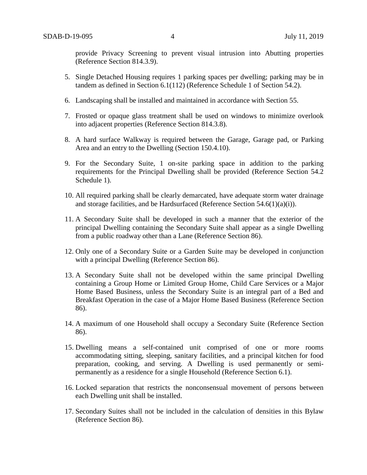provide Privacy Screening to prevent visual intrusion into Abutting properties (Reference Section 814.3.9).

- 5. Single Detached Housing requires 1 parking spaces per dwelling; parking may be in tandem as defined in Section 6.1(112) (Reference Schedule 1 of Section 54.2).
- 6. Landscaping shall be installed and maintained in accordance with Section 55.
- 7. Frosted or opaque glass treatment shall be used on windows to minimize overlook into adjacent properties (Reference Section 814.3.8).
- 8. A hard surface Walkway is required between the Garage, Garage pad, or Parking Area and an entry to the Dwelling (Section 150.4.10).
- 9. For the Secondary Suite, 1 on-site parking space in addition to the parking requirements for the Principal Dwelling shall be provided (Reference Section 54.2 Schedule 1).
- 10. All required parking shall be clearly demarcated, have adequate storm water drainage and storage facilities, and be Hardsurfaced (Reference Section  $54.6(1)(a)(i)$ ).
- 11. A Secondary Suite shall be developed in such a manner that the exterior of the principal Dwelling containing the Secondary Suite shall appear as a single Dwelling from a public roadway other than a Lane (Reference Section 86).
- 12. Only one of a Secondary Suite or a Garden Suite may be developed in conjunction with a principal Dwelling (Reference Section 86).
- 13. A Secondary Suite shall not be developed within the same principal Dwelling containing a Group Home or Limited Group Home, Child Care Services or a Major Home Based Business, unless the Secondary Suite is an integral part of a Bed and Breakfast Operation in the case of a Major Home Based Business (Reference Section 86).
- 14. A maximum of one Household shall occupy a Secondary Suite (Reference Section 86).
- 15. Dwelling means a self-contained unit comprised of one or more rooms accommodating sitting, sleeping, sanitary facilities, and a principal kitchen for food preparation, cooking, and serving. A Dwelling is used permanently or semipermanently as a residence for a single Household (Reference Section 6.1).
- 16. Locked separation that restricts the nonconsensual movement of persons between each Dwelling unit shall be installed.
- 17. Secondary Suites shall not be included in the calculation of densities in this Bylaw (Reference Section 86).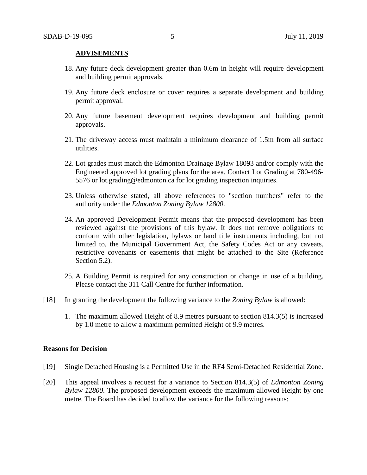### **ADVISEMENTS**

- 18. Any future deck development greater than 0.6m in height will require development and building permit approvals.
- 19. Any future deck enclosure or cover requires a separate development and building permit approval.
- 20. Any future basement development requires development and building permit approvals.
- 21. The driveway access must maintain a minimum clearance of 1.5m from all surface utilities.
- 22. Lot grades must match the Edmonton Drainage Bylaw 18093 and/or comply with the Engineered approved lot grading plans for the area. Contact Lot Grading at 780-496- 5576 or lot.grading@edmonton.ca for lot grading inspection inquiries.
- 23. Unless otherwise stated, all above references to "section numbers" refer to the authority under the *Edmonton Zoning Bylaw 12800*.
- 24. An approved Development Permit means that the proposed development has been reviewed against the provisions of this bylaw. It does not remove obligations to conform with other legislation, bylaws or land title instruments including, but not limited to, the Municipal Government Act, the Safety Codes Act or any caveats, restrictive covenants or easements that might be attached to the Site (Reference Section 5.2).
- 25. A Building Permit is required for any construction or change in use of a building. Please contact the 311 Call Centre for further information.
- [18] In granting the development the following variance to the *Zoning Bylaw* is allowed:
	- 1. The maximum allowed Height of 8.9 metres pursuant to section 814.3(5) is increased by 1.0 metre to allow a maximum permitted Height of 9.9 metres.

#### **Reasons for Decision**

- [19] Single Detached Housing is a Permitted Use in the RF4 Semi-Detached Residential Zone.
- [20] This appeal involves a request for a variance to Section 814.3(5) of *Edmonton Zoning Bylaw 12800*. The proposed development exceeds the maximum allowed Height by one metre. The Board has decided to allow the variance for the following reasons: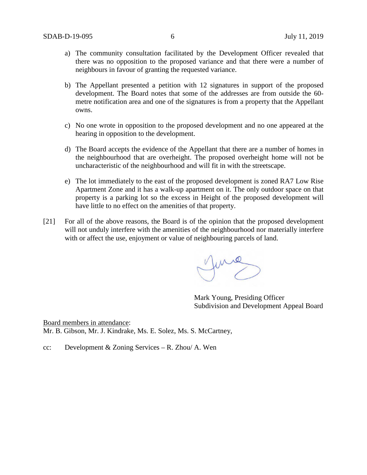- a) The community consultation facilitated by the Development Officer revealed that there was no opposition to the proposed variance and that there were a number of neighbours in favour of granting the requested variance.
- b) The Appellant presented a petition with 12 signatures in support of the proposed development. The Board notes that some of the addresses are from outside the 60 metre notification area and one of the signatures is from a property that the Appellant owns.
- c) No one wrote in opposition to the proposed development and no one appeared at the hearing in opposition to the development.
- d) The Board accepts the evidence of the Appellant that there are a number of homes in the neighbourhood that are overheight. The proposed overheight home will not be uncharacteristic of the neighbourhood and will fit in with the streetscape.
- e) The lot immediately to the east of the proposed development is zoned RA7 Low Rise Apartment Zone and it has a walk-up apartment on it. The only outdoor space on that property is a parking lot so the excess in Height of the proposed development will have little to no effect on the amenities of that property.
- [21] For all of the above reasons, the Board is of the opinion that the proposed development will not unduly interfere with the amenities of the neighbourhood nor materially interfere with or affect the use, enjoyment or value of neighbouring parcels of land.

me

Mark Young, Presiding Officer Subdivision and Development Appeal Board

Board members in attendance: Mr. B. Gibson, Mr. J. Kindrake, Ms. E. Solez, Ms. S. McCartney,

cc: Development & Zoning Services – R. Zhou/ A. Wen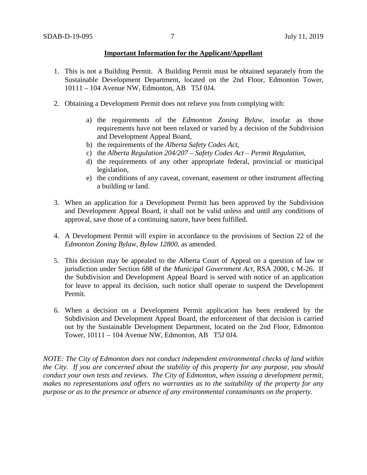## **Important Information for the Applicant/Appellant**

- 1. This is not a Building Permit. A Building Permit must be obtained separately from the Sustainable Development Department, located on the 2nd Floor, Edmonton Tower, 10111 – 104 Avenue NW, Edmonton, AB T5J 0J4.
- 2. Obtaining a Development Permit does not relieve you from complying with:
	- a) the requirements of the *Edmonton Zoning Bylaw*, insofar as those requirements have not been relaxed or varied by a decision of the Subdivision and Development Appeal Board,
	- b) the requirements of the *Alberta Safety Codes Act*,
	- c) the *Alberta Regulation 204/207 – Safety Codes Act – Permit Regulation*,
	- d) the requirements of any other appropriate federal, provincial or municipal legislation,
	- e) the conditions of any caveat, covenant, easement or other instrument affecting a building or land.
- 3. When an application for a Development Permit has been approved by the Subdivision and Development Appeal Board, it shall not be valid unless and until any conditions of approval, save those of a continuing nature, have been fulfilled.
- 4. A Development Permit will expire in accordance to the provisions of Section 22 of the *Edmonton Zoning Bylaw, Bylaw 12800*, as amended.
- 5. This decision may be appealed to the Alberta Court of Appeal on a question of law or jurisdiction under Section 688 of the *Municipal Government Act*, RSA 2000, c M-26. If the Subdivision and Development Appeal Board is served with notice of an application for leave to appeal its decision, such notice shall operate to suspend the Development Permit.
- 6. When a decision on a Development Permit application has been rendered by the Subdivision and Development Appeal Board, the enforcement of that decision is carried out by the Sustainable Development Department, located on the 2nd Floor, Edmonton Tower, 10111 – 104 Avenue NW, Edmonton, AB T5J 0J4.

*NOTE: The City of Edmonton does not conduct independent environmental checks of land within the City. If you are concerned about the stability of this property for any purpose, you should conduct your own tests and reviews. The City of Edmonton, when issuing a development permit, makes no representations and offers no warranties as to the suitability of the property for any purpose or as to the presence or absence of any environmental contaminants on the property.*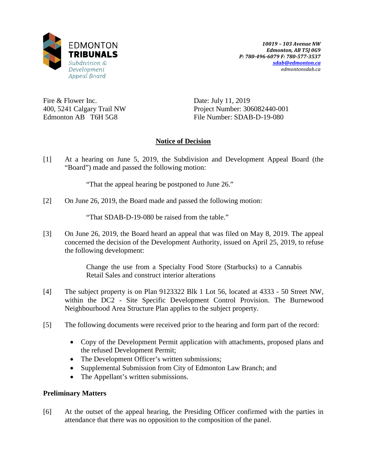

Fire & Flower Inc. 400, 5241 Calgary Trail NW Edmonton AB T6H 5G8

Date: July 11, 2019 Project Number: 306082440-001 File Number: SDAB-D-19-080

## **Notice of Decision**

[1] At a hearing on June 5, 2019, the Subdivision and Development Appeal Board (the "Board") made and passed the following motion:

"That the appeal hearing be postponed to June 26."

[2] On June 26, 2019, the Board made and passed the following motion:

"That SDAB-D-19-080 be raised from the table."

[3] On June 26, 2019, the Board heard an appeal that was filed on May 8, 2019. The appeal concerned the decision of the Development Authority, issued on April 25, 2019, to refuse the following development:

> Change the use from a Specialty Food Store (Starbucks) to a Cannabis Retail Sales and construct interior alterations

- [4] The subject property is on Plan 9123322 Blk 1 Lot 56, located at 4333 50 Street NW, within the DC2 - Site Specific Development Control Provision. The Burnewood Neighbourhood Area Structure Plan applies to the subject property.
- [5] The following documents were received prior to the hearing and form part of the record:
	- Copy of the Development Permit application with attachments, proposed plans and the refused Development Permit;
	- The Development Officer's written submissions;
	- Supplemental Submission from City of Edmonton Law Branch; and
	- The Appellant's written submissions.

## **Preliminary Matters**

[6] At the outset of the appeal hearing, the Presiding Officer confirmed with the parties in attendance that there was no opposition to the composition of the panel.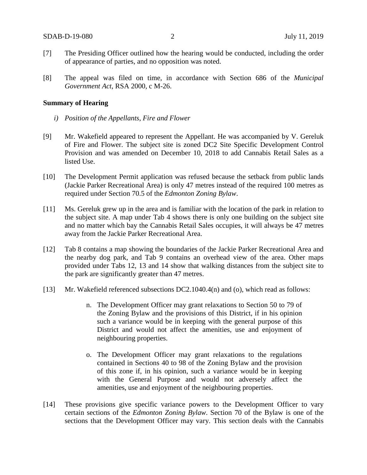- [7] The Presiding Officer outlined how the hearing would be conducted, including the order of appearance of parties, and no opposition was noted.
- [8] The appeal was filed on time, in accordance with Section 686 of the *Municipal Government Act*, RSA 2000, c M-26.

#### **Summary of Hearing**

- *i) Position of the Appellants, Fire and Flower*
- [9] Mr. Wakefield appeared to represent the Appellant. He was accompanied by V. Gereluk of Fire and Flower. The subject site is zoned DC2 Site Specific Development Control Provision and was amended on December 10, 2018 to add Cannabis Retail Sales as a listed Use.
- [10] The Development Permit application was refused because the setback from public lands (Jackie Parker Recreational Area) is only 47 metres instead of the required 100 metres as required under Section 70.5 of the *Edmonton Zoning Bylaw*.
- [11] Ms. Gereluk grew up in the area and is familiar with the location of the park in relation to the subject site. A map under Tab 4 shows there is only one building on the subject site and no matter which bay the Cannabis Retail Sales occupies, it will always be 47 metres away from the Jackie Parker Recreational Area.
- [12] Tab 8 contains a map showing the boundaries of the Jackie Parker Recreational Area and the nearby dog park, and Tab 9 contains an overhead view of the area. Other maps provided under Tabs 12, 13 and 14 show that walking distances from the subject site to the park are significantly greater than 47 metres.
- [13] Mr. Wakefield referenced subsections DC2.1040.4(n) and (o), which read as follows:
	- n. The Development Officer may grant relaxations to Section 50 to 79 of the Zoning Bylaw and the provisions of this District, if in his opinion such a variance would be in keeping with the general purpose of this District and would not affect the amenities, use and enjoyment of neighbouring properties.
	- o. The Development Officer may grant relaxations to the regulations contained in Sections 40 to 98 of the Zoning Bylaw and the provision of this zone if, in his opinion, such a variance would be in keeping with the General Purpose and would not adversely affect the amenities, use and enjoyment of the neighbouring properties.
- [14] These provisions give specific variance powers to the Development Officer to vary certain sections of the *Edmonton Zoning Bylaw*. Section 70 of the Bylaw is one of the sections that the Development Officer may vary. This section deals with the Cannabis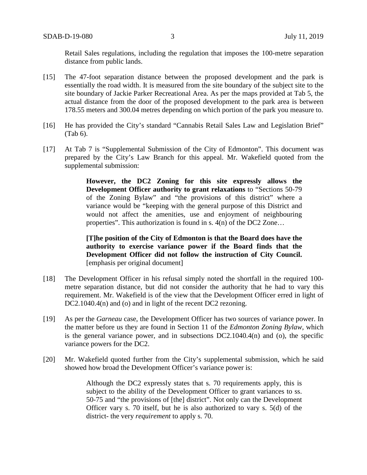Retail Sales regulations, including the regulation that imposes the 100-metre separation distance from public lands.

- [15] The 47-foot separation distance between the proposed development and the park is essentially the road width. It is measured from the site boundary of the subject site to the site boundary of Jackie Parker Recreational Area. As per the maps provided at Tab 5, the actual distance from the door of the proposed development to the park area is between 178.55 meters and 300.04 metres depending on which portion of the park you measure to.
- [16] He has provided the City's standard "Cannabis Retail Sales Law and Legislation Brief" (Tab 6).
- [17] At Tab 7 is "Supplemental Submission of the City of Edmonton". This document was prepared by the City's Law Branch for this appeal. Mr. Wakefield quoted from the supplemental submission:

**However, the DC2 Zoning for this site expressly allows the Development Officer authority to grant relaxations** to "Sections 50-79 of the Zoning Bylaw" and "the provisions of this district" where a variance would be "keeping with the general purpose of this District and would not affect the amenities, use and enjoyment of neighbouring properties". This authorization is found in s. 4(n) of the DC2 Zone…

**[T]he position of the City of Edmonton is that the Board does have the authority to exercise variance power if the Board finds that the Development Officer did not follow the instruction of City Council.** [emphasis per original document]

- [18] The Development Officer in his refusal simply noted the shortfall in the required 100 metre separation distance, but did not consider the authority that he had to vary this requirement. Mr. Wakefield is of the view that the Development Officer erred in light of DC2.1040.4(n) and (o) and in light of the recent DC2 rezoning.
- [19] As per the *Garneau* case, the Development Officer has two sources of variance power. In the matter before us they are found in Section 11 of the *Edmonton Zoning Bylaw,* which is the general variance power, and in subsections DC2.1040.4(n) and (o), the specific variance powers for the DC2.
- [20] Mr. Wakefield quoted further from the City's supplemental submission, which he said showed how broad the Development Officer's variance power is:

Although the DC2 expressly states that s. 70 requirements apply, this is subject to the ability of the Development Officer to grant variances to ss. 50-75 and "the provisions of [the] district". Not only can the Development Officer vary s. 70 itself, but he is also authorized to vary s. 5(d) of the district- the very *requirement* to apply s. 70.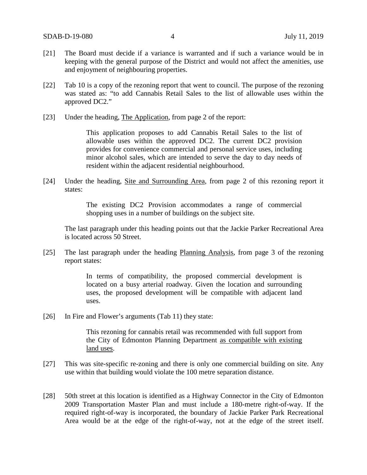- [21] The Board must decide if a variance is warranted and if such a variance would be in keeping with the general purpose of the District and would not affect the amenities, use and enjoyment of neighbouring properties.
- [22] Tab 10 is a copy of the rezoning report that went to council. The purpose of the rezoning was stated as: "to add Cannabis Retail Sales to the list of allowable uses within the approved DC2."
- [23] Under the heading, The Application, from page 2 of the report:

This application proposes to add Cannabis Retail Sales to the list of allowable uses within the approved DC2. The current DC2 provision provides for convenience commercial and personal service uses, including minor alcohol sales, which are intended to serve the day to day needs of resident within the adjacent residential neighbourhood.

[24] Under the heading, Site and Surrounding Area, from page 2 of this rezoning report it states:

> The existing DC2 Provision accommodates a range of commercial shopping uses in a number of buildings on the subject site.

The last paragraph under this heading points out that the Jackie Parker Recreational Area is located across 50 Street.

[25] The last paragraph under the heading Planning Analysis, from page 3 of the rezoning report states:

> In terms of compatibility, the proposed commercial development is located on a busy arterial roadway. Given the location and surrounding uses, the proposed development will be compatible with adjacent land uses.

[26] In Fire and Flower's arguments (Tab 11) they state:

This rezoning for cannabis retail was recommended with full support from the City of Edmonton Planning Department as compatible with existing land uses.

- [27] This was site-specific re-zoning and there is only one commercial building on site. Any use within that building would violate the 100 metre separation distance.
- [28] 50th street at this location is identified as a Highway Connector in the City of Edmonton 2009 Transportation Master Plan and must include a 180-metre right-of-way. If the required right-of-way is incorporated, the boundary of Jackie Parker Park Recreational Area would be at the edge of the right-of-way, not at the edge of the street itself.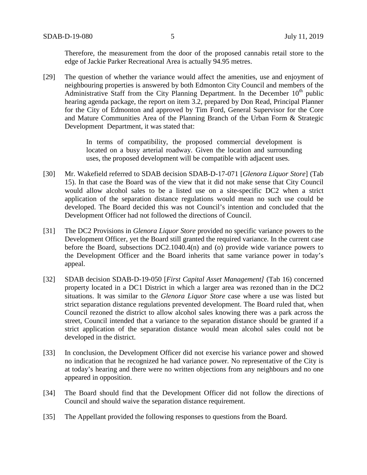Therefore, the measurement from the door of the proposed cannabis retail store to the edge of Jackie Parker Recreational Area is actually 94.95 metres.

[29] The question of whether the variance would affect the amenities, use and enjoyment of neighbouring properties is answered by both Edmonton City Council and members of the Administrative Staff from the City Planning Department. In the December  $10<sup>th</sup>$  public hearing agenda package, the report on item 3.2, prepared by Don Read, Principal Planner for the City of Edmonton and approved by Tim Ford, General Supervisor for the Core and Mature Communities Area of the Planning Branch of the Urban Form & Strategic Development Department, it was stated that:

> In terms of compatibility, the proposed commercial development is located on a busy arterial roadway. Given the location and surrounding uses, the proposed development will be compatible with adjacent uses.

- [30] Mr. Wakefield referred to SDAB decision SDAB-D-17-071 [*Glenora Liquor Store*] (Tab 15). In that case the Board was of the view that it did not make sense that City Council would allow alcohol sales to be a listed use on a site-specific DC2 when a strict application of the separation distance regulations would mean no such use could be developed. The Board decided this was not Council's intention and concluded that the Development Officer had not followed the directions of Council.
- [31] The DC2 Provisions in *Glenora Liquor Store* provided no specific variance powers to the Development Officer, yet the Board still granted the required variance. In the current case before the Board, subsections DC2.1040.4(n) and (o) provide wide variance powers to the Development Officer and the Board inherits that same variance power in today's appeal.
- [32] SDAB decision SDAB-D-19-050 [*First Capital Asset Management]* (Tab 16) concerned property located in a DC1 District in which a larger area was rezoned than in the DC2 situations. It was similar to the *Glenora Liquor Store* case where a use was listed but strict separation distance regulations prevented development. The Board ruled that, when Council rezoned the district to allow alcohol sales knowing there was a park across the street, Council intended that a variance to the separation distance should be granted if a strict application of the separation distance would mean alcohol sales could not be developed in the district.
- [33] In conclusion, the Development Officer did not exercise his variance power and showed no indication that he recognized he had variance power. No representative of the City is at today's hearing and there were no written objections from any neighbours and no one appeared in opposition.
- [34] The Board should find that the Development Officer did not follow the directions of Council and should waive the separation distance requirement.
- [35] The Appellant provided the following responses to questions from the Board.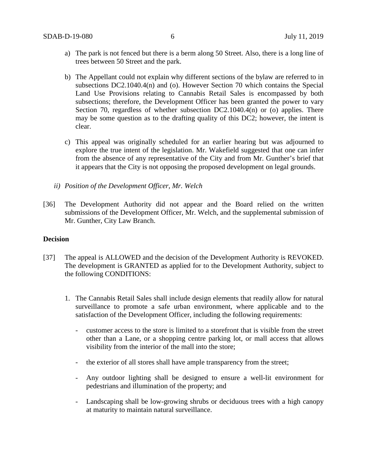- a) The park is not fenced but there is a berm along 50 Street. Also, there is a long line of trees between 50 Street and the park.
- b) The Appellant could not explain why different sections of the bylaw are referred to in subsections DC2.1040.4(n) and (o). However Section 70 which contains the Special Land Use Provisions relating to Cannabis Retail Sales is encompassed by both subsections; therefore, the Development Officer has been granted the power to vary Section 70, regardless of whether subsection  $DC2.1040.4(n)$  or (o) applies. There may be some question as to the drafting quality of this DC2; however, the intent is clear.
- c) This appeal was originally scheduled for an earlier hearing but was adjourned to explore the true intent of the legislation. Mr. Wakefield suggested that one can infer from the absence of any representative of the City and from Mr. Gunther's brief that it appears that the City is not opposing the proposed development on legal grounds.
- *ii) Position of the Development Officer, Mr. Welch*
- [36] The Development Authority did not appear and the Board relied on the written submissions of the Development Officer, Mr. Welch, and the supplemental submission of Mr. Gunther, City Law Branch.

## **Decision**

- [37] The appeal is ALLOWED and the decision of the Development Authority is REVOKED. The development is GRANTED as applied for to the Development Authority, subject to the following CONDITIONS:
	- 1. The Cannabis Retail Sales shall include design elements that readily allow for natural surveillance to promote a safe urban environment, where applicable and to the satisfaction of the Development Officer, including the following requirements:
		- customer access to the store is limited to a storefront that is visible from the street other than a Lane, or a shopping centre parking lot, or mall access that allows visibility from the interior of the mall into the store;
		- the exterior of all stores shall have ample transparency from the street;
		- Any outdoor lighting shall be designed to ensure a well-lit environment for pedestrians and illumination of the property; and
		- Landscaping shall be low-growing shrubs or deciduous trees with a high canopy at maturity to maintain natural surveillance.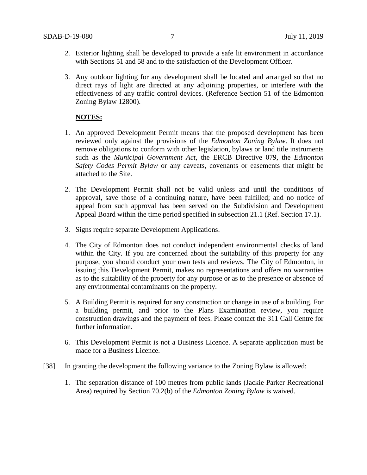- 2. Exterior lighting shall be developed to provide a safe lit environment in accordance with Sections 51 and 58 and to the satisfaction of the Development Officer.
- 3. Any outdoor lighting for any development shall be located and arranged so that no direct rays of light are directed at any adjoining properties, or interfere with the effectiveness of any traffic control devices. (Reference Section 51 of the Edmonton Zoning Bylaw 12800).

## **NOTES:**

- 1. An approved Development Permit means that the proposed development has been reviewed only against the provisions of the *Edmonton Zoning Bylaw*. It does not remove obligations to conform with other legislation, bylaws or land title instruments such as the *Municipal Government Act*, the ERCB Directive 079, the *Edmonton Safety Codes Permit Bylaw* or any caveats, covenants or easements that might be attached to the Site.
- 2. The Development Permit shall not be valid unless and until the conditions of approval, save those of a continuing nature, have been fulfilled; and no notice of appeal from such approval has been served on the Subdivision and Development Appeal Board within the time period specified in subsection 21.1 (Ref. Section 17.1).
- 3. Signs require separate Development Applications.
- 4. The City of Edmonton does not conduct independent environmental checks of land within the City. If you are concerned about the suitability of this property for any purpose, you should conduct your own tests and reviews. The City of Edmonton, in issuing this Development Permit, makes no representations and offers no warranties as to the suitability of the property for any purpose or as to the presence or absence of any environmental contaminants on the property.
- 5. A Building Permit is required for any construction or change in use of a building. For a building permit, and prior to the Plans Examination review, you require construction drawings and the payment of fees. Please contact the 311 Call Centre for further information.
- 6. This Development Permit is not a Business Licence. A separate application must be made for a Business Licence.
- [38] In granting the development the following variance to the Zoning Bylaw is allowed:
	- 1. The separation distance of 100 metres from public lands (Jackie Parker Recreational Area) required by Section 70.2(b) of the *Edmonton Zoning Bylaw* is waived.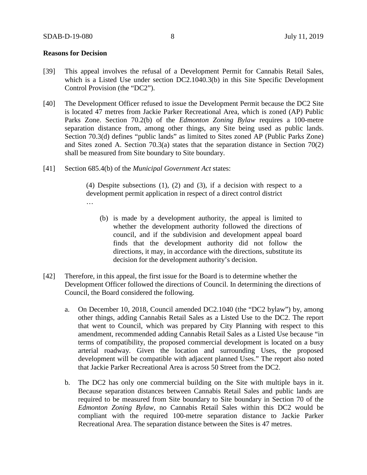## **Reasons for Decision**

- [39] This appeal involves the refusal of a Development Permit for Cannabis Retail Sales, which is a Listed Use under section DC2.1040.3(b) in this Site Specific Development Control Provision (the "DC2").
- [40] The Development Officer refused to issue the Development Permit because the DC2 Site is located 47 metres from Jackie Parker Recreational Area, which is zoned (AP) Public Parks Zone. Section 70.2(b) of the *Edmonton Zoning Bylaw* requires a 100-metre separation distance from, among other things, any Site being used as public lands. Section 70.3(d) defines "public lands" as limited to Sites zoned AP (Public Parks Zone) and Sites zoned A. Section 70.3(a) states that the separation distance in Section 70(2) shall be measured from Site boundary to Site boundary.
- [41] Section 685.4(b) of the *Municipal Government Act* states:

(4) Despite subsections (1), (2) and (3), if a decision with respect to a development permit application in respect of a direct control district …

- (b) is made by a development authority, the appeal is limited to whether the development authority followed the directions of council, and if the subdivision and development appeal board finds that the development authority did not follow the directions, it may, in accordance with the directions, substitute its decision for the development authority's decision.
- [42] Therefore, in this appeal, the first issue for the Board is to determine whether the Development Officer followed the directions of Council. In determining the directions of Council, the Board considered the following.
	- a. On December 10, 2018, Council amended DC2.1040 (the "DC2 bylaw") by, among other things, adding Cannabis Retail Sales as a Listed Use to the DC2. The report that went to Council, which was prepared by City Planning with respect to this amendment, recommended adding Cannabis Retail Sales as a Listed Use because "in terms of compatibility, the proposed commercial development is located on a busy arterial roadway. Given the location and surrounding Uses, the proposed development will be compatible with adjacent planned Uses." The report also noted that Jackie Parker Recreational Area is across 50 Street from the DC2.
	- b. The DC2 has only one commercial building on the Site with multiple bays in it. Because separation distances between Cannabis Retail Sales and public lands are required to be measured from Site boundary to Site boundary in Section 70 of the *Edmonton Zoning Bylaw*, no Cannabis Retail Sales within this DC2 would be compliant with the required 100-metre separation distance to Jackie Parker Recreational Area. The separation distance between the Sites is 47 metres.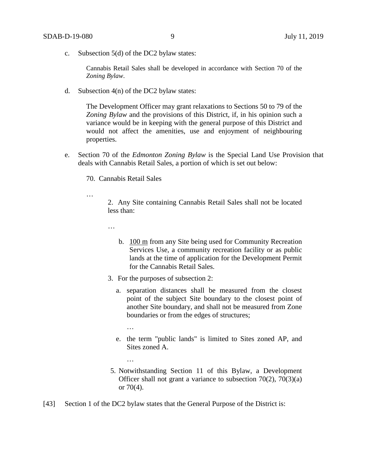c. Subsection 5(d) of the DC2 bylaw states:

Cannabis Retail Sales shall be developed in accordance with Section 70 of the *Zoning Bylaw*.

d. Subsection 4(n) of the DC2 bylaw states:

The Development Officer may grant relaxations to Sections 50 to 79 of the *Zoning Bylaw* and the provisions of this District, if, in his opinion such a variance would be in keeping with the general purpose of this District and would not affect the amenities, use and enjoyment of neighbouring properties.

e. Section 70 of the *Edmonton Zoning Bylaw* is the Special Land Use Provision that deals with Cannabis Retail Sales, a portion of which is set out below:

70. Cannabis Retail Sales

2. Any Site containing Cannabis Retail Sales shall not be located less than:

…

…

- b. [100 m](javascript:void(0);) from any Site being used for Community Recreation Services Use, a community recreation facility or as public lands at the time of application for the Development Permit for the Cannabis Retail Sales.
- 3. For the purposes of subsection 2:
	- a. separation distances shall be measured from the closest point of the subject Site boundary to the closest point of another Site boundary, and shall not be measured from Zone boundaries or from the edges of structures;
		- …

…

- e. the term "public lands" is limited to Sites zoned [AP,](https://webdocs.edmonton.ca/InfraPlan/zoningbylaw/ZoningBylaw/Part2/Urban/530_(AP)_Public_Parks_Zone.htm) and Sites zoned [A.](https://webdocs.edmonton.ca/InfraPlan/zoningbylaw/ZoningBylaw/Part2/Urban/540_(A)_Metropolitan_Recreation_Zone.htm)
- 5. Notwithstanding [Section 11](https://webdocs.edmonton.ca/InfraPlan/zoningbylaw/ZoningBylaw/Part1/Administrative/11__Authority_and_Responsibility_of_the_Development_Officer.htm) of this Bylaw, a Development Officer shall not grant a variance to subsection 70(2), 70(3)(a) or 70(4).
- [43] Section 1 of the DC2 bylaw states that the General Purpose of the District is: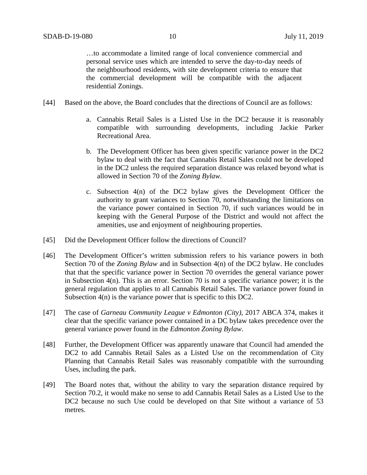…to accommodate a limited range of local convenience commercial and personal service uses which are intended to serve the day-to-day needs of the neighbourhood residents, with site development criteria to ensure that the commercial development will be compatible with the adjacent residential Zonings.

- [44] Based on the above, the Board concludes that the directions of Council are as follows:
	- a. Cannabis Retail Sales is a Listed Use in the DC2 because it is reasonably compatible with surrounding developments, including Jackie Parker Recreational Area.
	- b. The Development Officer has been given specific variance power in the DC2 bylaw to deal with the fact that Cannabis Retail Sales could not be developed in the DC2 unless the required separation distance was relaxed beyond what is allowed in Section 70 of the *Zoning Bylaw*.
	- c. Subsection 4(n) of the DC2 bylaw gives the Development Officer the authority to grant variances to Section 70, notwithstanding the limitations on the variance power contained in Section 70, if such variances would be in keeping with the General Purpose of the District and would not affect the amenities, use and enjoyment of neighbouring properties.
- [45] Did the Development Officer follow the directions of Council?
- [46] The Development Officer's written submission refers to his variance powers in both Section 70 of the *Zoning Bylaw* and in Subsection 4(n) of the DC2 bylaw. He concludes that that the specific variance power in Section 70 overrides the general variance power in Subsection 4(n). This is an error. Section 70 is not a specific variance power; it is the general regulation that applies to all Cannabis Retail Sales. The variance power found in Subsection 4(n) is the variance power that is specific to this DC2.
- [47] The case of *Garneau Community League v Edmonton (City)*, 2017 ABCA 374, makes it clear that the specific variance power contained in a DC bylaw takes precedence over the general variance power found in the *Edmonton Zoning Bylaw*.
- [48] Further, the Development Officer was apparently unaware that Council had amended the DC2 to add Cannabis Retail Sales as a Listed Use on the recommendation of City Planning that Cannabis Retail Sales was reasonably compatible with the surrounding Uses, including the park.
- [49] The Board notes that, without the ability to vary the separation distance required by Section 70.2, it would make no sense to add Cannabis Retail Sales as a Listed Use to the DC2 because no such Use could be developed on that Site without a variance of 53 metres.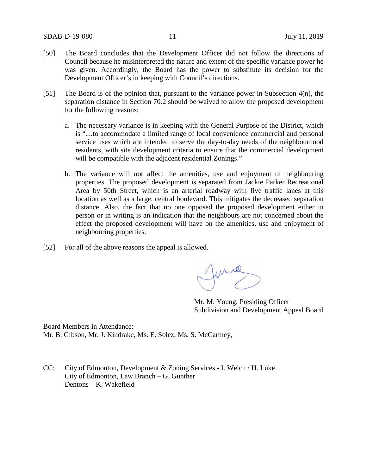- [50] The Board concludes that the Development Officer did not follow the directions of Council because he misinterpreted the nature and extent of the specific variance power he was given. Accordingly, the Board has the power to substitute its decision for the Development Officer's in keeping with Council's directions.
- [51] The Board is of the opinion that, pursuant to the variance power in Subsection 4(n), the separation distance in Section 70.2 should be waived to allow the proposed development for the following reasons:
	- a. The necessary variance is in keeping with the General Purpose of the District, which is "…to accommodate a limited range of local convenience commercial and personal service uses which are intended to serve the day-to-day needs of the neighbourhood residents, with site development criteria to ensure that the commercial development will be compatible with the adjacent residential Zonings."
	- b. The variance will not affect the amenities, use and enjoyment of neighbouring properties. The proposed development is separated from Jackie Parker Recreational Area by 50th Street, which is an arterial roadway with five traffic lanes at this location as well as a large, central boulevard. This mitigates the decreased separation distance. Also, the fact that no one opposed the proposed development either in person or in writing is an indication that the neighbours are not concerned about the effect the proposed development will have on the amenities, use and enjoyment of neighbouring properties.
- [52] For all of the above reasons the appeal is allowed.

Mr. M. Young, Presiding Officer Subdivision and Development Appeal Board

Board Members in Attendance: Mr. B. Gibson, Mr. J. Kindrake, Ms. E. Solez, Ms. S. McCartney,

CC: City of Edmonton, Development & Zoning Services - I. Welch / H. Luke City of Edmonton, Law Branch – G. Gunther Dentons – K. Wakefield